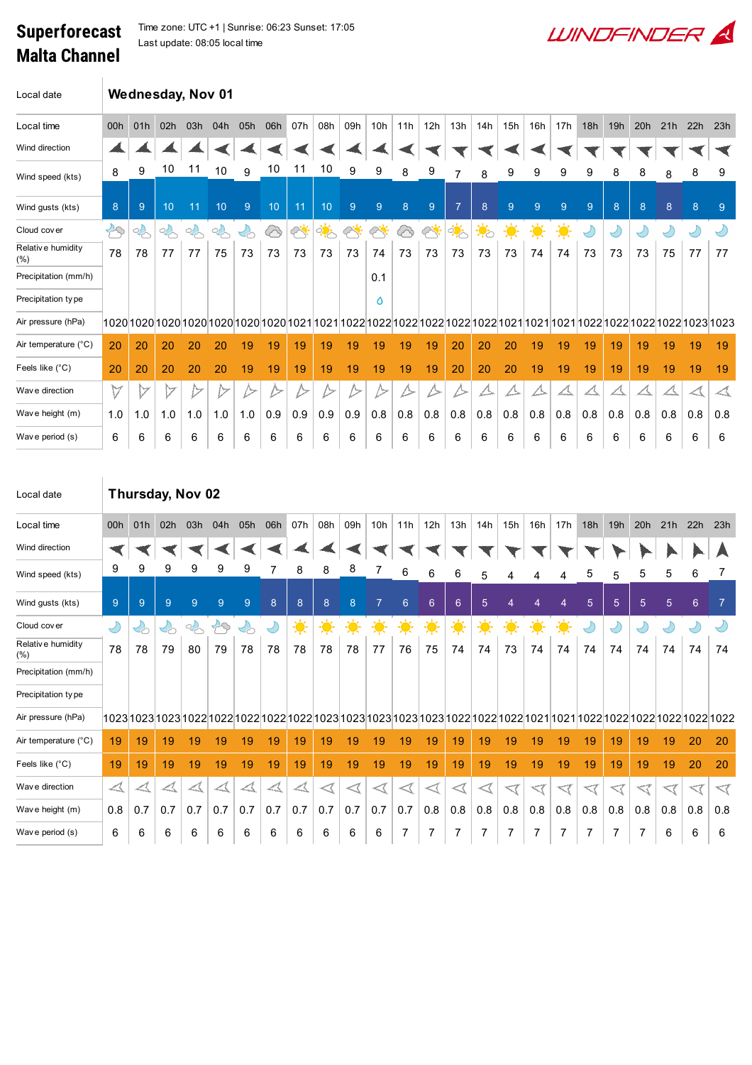## Malta Channel

Superforecast Time zone: UTC +1 | Sunrise: 06:23 Sunset: 17:05 Last update: 08:05 local time



| Local date                |               |        |                           |     | Wednesday, Nov 01 |     |     |                    |                        |                    |                          |                  |           |               |                  |                |     |                |            |            |     |               |                  |             |
|---------------------------|---------------|--------|---------------------------|-----|-------------------|-----|-----|--------------------|------------------------|--------------------|--------------------------|------------------|-----------|---------------|------------------|----------------|-----|----------------|------------|------------|-----|---------------|------------------|-------------|
| Local time                | 00h           | 01h    | 02h                       | 03h | 04h               | 05h | 06h | 07h                | 08h                    | 09h                | 10 <sub>h</sub>          | 11h              | 12h       | 13h           | 14h              | 15h            | 16h | 17h            | 18h        | 19h        | 20h | 21h           | 22h              | 23h         |
| Wind direction            |               |        |                           |     |                   |     |     |                    |                        |                    |                          |                  |           |               |                  |                |     |                |            |            |     |               |                  |             |
| Wind speed (kts)          | 8             | 9      | 10                        | 11  | 10                | 9   | 10  | 11                 | 10                     | 9                  | 9                        | 8                | 9         |               | 8                | 9              | 9   | 9              | 9          | 8          | 8   | 8             | 8                | 9           |
| Wind gusts (kts)          | 8             | 9      | 10 <sup>°</sup>           | 11  | 10                | 9   | 10  | 11                 | 10                     | $\overline{9}$     | 9                        | 8                | 9         | 7             | 8                | $\overline{9}$ | 9   | $\overline{9}$ | 9          | 8          | 8   | 8             | 8                | $9^{\circ}$ |
| Cloud cover               | $\mathcal{B}$ | $\sim$ | $\mathbb{Q}_{\mathbb{C}}$ | 2   | $\frac{1}{2}$     | 수   | ↔   | $\curvearrowright$ | ्रं <mark>ग</mark> ्रं | $\curvearrowright$ | $\overline{\mathscr{L}}$ | $\bigcirc$       | $\oslash$ | $\frac{1}{2}$ | $\ddot{\bullet}$ | 美              | 美   | $\frac{1}{2}$  | $\bigcirc$ | $\bigcirc$ |     | $\mathcal{L}$ | $\bigcirc$       |             |
| Relative humidity<br>(% ) | 78            | 78     | 77                        | 77  | 75                | 73  | 73  | 73                 | 73                     | 73                 | 74                       | 73               | 73        | 73            | 73               | 73             | 74  | 74             | 73         | 73         | 73  | 75            | 77               | 77          |
| Precipitation (mm/h)      |               |        |                           |     |                   |     |     |                    |                        |                    | 0.1                      |                  |           |               |                  |                |     |                |            |            |     |               |                  |             |
| Precipitation type        |               |        |                           |     |                   |     |     |                    |                        |                    | ٥                        |                  |           |               |                  |                |     |                |            |            |     |               |                  |             |
| Air pressure (hPa)        |               |        |                           |     |                   |     |     |                    |                        |                    |                          |                  |           |               |                  |                |     |                |            |            |     |               |                  |             |
| Air temperature (°C)      | 20            | 20     | 20                        | 20  | 20                | 19  | 19  | 19                 | 19                     | 19                 | 19                       | 19               | 19        | 20            | 20               | 20             | 19  | 19             | 19         | 19         | 19  | 19            | 19               | 19          |
| Feels like (°C)           | 20            | 20     | 20                        | 20  | 20                | 19  | 19  | 19                 | 19                     | 19                 | 19                       | 19               | 19        | 20            | 20               | 20             | 19  | 19             | 19         | 19         | 19  | 19            | 19               | 19          |
| Wav e direction           | $\forall$     | ッ      | M                         |     | ⇁                 | />  |     |                    |                        | ∕>                 |                          | $\triangleright$ | ハ         | ∕∽            |                  | ╱╲             | A   |                |            |            |     |               | $\blacktriangle$ | △           |
| Wave height (m)           | 1.0           | 1.0    | 1.0                       | 1.0 | 1.0               | 1.0 | 0.9 | 0.9                | 0.9                    | 0.9                | 0.8                      | 0.8              | 0.8       | 0.8           | 0.8              | 0.8            | 0.8 | 0.8            | 0.8        | 0.8        | 0.8 | 0.8           | 0.8              | 0.8         |
| Wave period (s)           | 6             | 6      | 6                         | 6   | 6                 | 6   | 6   | 6                  | 6                      | 6                  | 6                        | 6                | 6         | 6             | 6                | 6              | 6   | 6              | 6          | 6          | 6   | 6             | 6                | 6           |

| Local date                | Thursday, Nov 02     |     |                          |     |                   |                                   |     |                  |                       |     |                 |                       |                  |                |                |                |                |               |            |                 |                |     |            |                |
|---------------------------|----------------------|-----|--------------------------|-----|-------------------|-----------------------------------|-----|------------------|-----------------------|-----|-----------------|-----------------------|------------------|----------------|----------------|----------------|----------------|---------------|------------|-----------------|----------------|-----|------------|----------------|
| Local time                | 00h                  | 01h | 02h                      | 03h | 04h               | 05h                               | 06h | 07h              | 08h                   | 09h | 10 <sub>h</sub> | 11h                   | 12h              | 13h            | 14h            | 15h            | 16h            | 17h           | 18h        | 19h             | 20h            | 21h | 22h        | 23h            |
| Wind direction            |                      |     |                          |     |                   |                                   |     |                  |                       |     |                 |                       |                  |                |                |                |                |               |            |                 |                |     |            |                |
| Wind speed (kts)          | 9                    | 9   | 9                        | 9   | 9                 | 9                                 |     | 8                | 8                     | 8   | 7               | 6                     | 6                | 6              | 5              | 4              | 4              | 4             | 5          | 5               | 5              | 5   | 6          |                |
| Wind gusts (kts)          | 9                    | 9   | 9                        | 9   | 9                 | 9                                 | 8   | 8                | 8                     | 8   | $\overline{7}$  | 6                     | $6 \overline{6}$ | $6\phantom{1}$ | $\overline{5}$ | $\overline{4}$ | $\overline{4}$ | 4             | 5          | $5\overline{)}$ | $\overline{5}$ | 5   | 6          | $\overline{7}$ |
| Cloud cover               | $\bigcirc$           | 29  | $\mathcal{C}_{\text{C}}$ | 2   | $\leftrightarrow$ | $\mathcal{L}_{\circlearrowright}$ | V   | $\ddot{\bullet}$ | ☀                     | 美   | $\frac{1}{2}$   | 美                     | $\frac{1}{2}$    | $\frac{1}{2}$  | $\frac{1}{2}$  | $\frac{1}{2}$  | 美              | $\frac{1}{2}$ | $\bigcirc$ | $\bigcirc$      | $\bigcirc$     | ↩   | $\bigcirc$ |                |
| Relative humidity<br>(% ) | 78                   | 78  | 79                       | 80  | 79                | 78                                | 78  | 78               | 78                    | 78  | 77              | 76                    | 75               | 74             | 74             | 73             | 74             | 74            | 74         | 74              | 74             | 74  | 74         | 74             |
| Precipitation (mm/h)      |                      |     |                          |     |                   |                                   |     |                  |                       |     |                 |                       |                  |                |                |                |                |               |            |                 |                |     |            |                |
| Precipitation type        |                      |     |                          |     |                   |                                   |     |                  |                       |     |                 |                       |                  |                |                |                |                |               |            |                 |                |     |            |                |
| Air pressure (hPa)        |                      |     |                          |     |                   |                                   |     |                  |                       |     |                 |                       |                  |                |                |                |                |               |            |                 |                |     |            |                |
| Air temperature (°C)      | 19                   | 19  | 19                       | 19  | 19                | 19                                | 19  | 19               | 19                    | 19  | 19              | 19                    | 19               | 19             | 19             | 19             | 19             | 19            | 19         | 19              | 19             | 19  | 20         | 20             |
| Feels like (°C)           | 19                   | 19  | 19                       | 19  | 19                | 19                                | 19  | 19               | 19                    | 19  | 19              | 19                    | 19               | 19             | 19             | 19             | 19             | 19            | 19         | 19              | 19             | 19  | 20         | 20             |
| Wave direction            | $\blacktriangleleft$ |     | $\blacktriangle$         |     |                   | $\blacktriangle$                  |     |                  | $\operatorname{\lhd}$ | ◁   | ◁               | $\operatorname{\lhd}$ |                  | ◁              |                |                |                |               |            |                 |                |     |            | $\lhd$         |
| Wave height (m)           | 0.8                  | 0.7 | 0.7                      | 0.7 | 0.7               | 0.7                               | 0.7 | 0.7              | 0.7                   | 0.7 | 0.7             | 0.7                   | 0.8              | 0.8            | 0.8            | 0.8            | 0.8            | 0.8           | 0.8        | 0.8             | 0.8            | 0.8 | 0.8        | 0.8            |
| Wave period (s)           | 6                    | 6   | 6                        | 6   | 6                 | 6                                 | 6   | 6                | 6                     | 6   | 6               | $\overline{7}$        | 7                | 7              | 7              | 7              | 7              | 7             | 7          | 7               | 7              | 6   | 6          | 6              |